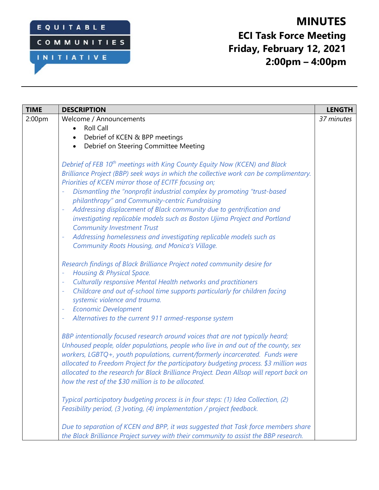## EQUITABLE

INITIATIVE

COMMUNITIES

# **MINUTES ECI Task Force Meeting Friday, February 12, 2021 2:00pm – 4:00pm**

| <b>TIME</b>        | <b>DESCRIPTION</b>                                                                                                                                                                                                                                                                                                                                                                                                                                                                                                                                                                                                                                                                                   | <b>LENGTH</b> |
|--------------------|------------------------------------------------------------------------------------------------------------------------------------------------------------------------------------------------------------------------------------------------------------------------------------------------------------------------------------------------------------------------------------------------------------------------------------------------------------------------------------------------------------------------------------------------------------------------------------------------------------------------------------------------------------------------------------------------------|---------------|
| 2:00 <sub>pm</sub> | Welcome / Announcements                                                                                                                                                                                                                                                                                                                                                                                                                                                                                                                                                                                                                                                                              | 37 minutes    |
|                    | <b>Roll Call</b>                                                                                                                                                                                                                                                                                                                                                                                                                                                                                                                                                                                                                                                                                     |               |
|                    | Debrief of KCEN & BPP meetings                                                                                                                                                                                                                                                                                                                                                                                                                                                                                                                                                                                                                                                                       |               |
|                    | Debrief on Steering Committee Meeting                                                                                                                                                                                                                                                                                                                                                                                                                                                                                                                                                                                                                                                                |               |
|                    | Debrief of FEB 10 <sup>th</sup> meetings with King County Equity Now (KCEN) and Black<br>Brilliance Project (BBP) seek ways in which the collective work can be complimentary.<br>Priorities of KCEN mirror those of ECITF focusing on;<br>Dismantling the "nonprofit industrial complex by promoting "trust-based<br>philanthropy" and Community-centric Fundraising<br>Addressing displacement of Black community due to gentrification and<br>investigating replicable models such as Boston Ujima Project and Portland<br><b>Community Investment Trust</b><br>Addressing homelessness and investigating replicable models such as<br>÷<br><b>Community Roots Housing, and Monica's Village.</b> |               |
|                    | Research findings of Black Brilliance Project noted community desire for<br>Housing & Physical Space.<br>Culturally responsive Mental Health networks and practitioners<br>÷<br>Childcare and out of-school time supports particularly for children facing<br>systemic violence and trauma.<br><b>Economic Development</b><br>Alternatives to the current 911 armed-response system<br>÷                                                                                                                                                                                                                                                                                                             |               |
|                    | BBP intentionally focused research around voices that are not typically heard;<br>Unhoused people, older populations, people who live in and out of the county, sex<br>workers, LGBTQ+, youth populations, current/formerly incarcerated. Funds were<br>allocated to Freedom Project for the participatory budgeting process. \$3 million was<br>allocated to the research for Black Brilliance Project. Dean Allsop will report back on<br>how the rest of the \$30 million is to be allocated.                                                                                                                                                                                                     |               |
|                    | Typical participatory budgeting process is in four steps: (1) Idea Collection, (2)<br>Feasibility period, (3 )voting, (4) implementation / project feedback.                                                                                                                                                                                                                                                                                                                                                                                                                                                                                                                                         |               |
|                    | Due to separation of KCEN and BPP, it was suggested that Task force members share<br>the Black Brilliance Project survey with their community to assist the BBP research.                                                                                                                                                                                                                                                                                                                                                                                                                                                                                                                            |               |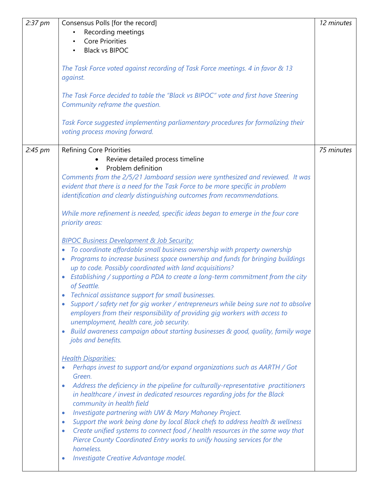| $2:37 \text{ pm}$ | Consensus Polls [for the record]                                                                | 12 minutes |
|-------------------|-------------------------------------------------------------------------------------------------|------------|
|                   | Recording meetings                                                                              |            |
|                   | <b>Core Priorities</b><br>$\bullet$                                                             |            |
|                   | <b>Black vs BIPOC</b>                                                                           |            |
|                   |                                                                                                 |            |
|                   | The Task Force voted against recording of Task Force meetings. 4 in favor & 13                  |            |
|                   | against.                                                                                        |            |
|                   |                                                                                                 |            |
|                   | The Task Force decided to table the "Black vs BIPOC" vote and first have Steering               |            |
|                   | Community reframe the question.                                                                 |            |
|                   |                                                                                                 |            |
|                   | Task Force suggested implementing parliamentary procedures for formalizing their                |            |
|                   | voting process moving forward.                                                                  |            |
|                   |                                                                                                 |            |
| 2:45 pm           | <b>Refining Core Priorities</b>                                                                 | 75 minutes |
|                   | Review detailed process timeline                                                                |            |
|                   | Problem definition                                                                              |            |
|                   | Comments from the 2/5/21 Jamboard session were synthesized and reviewed. It was                 |            |
|                   | evident that there is a need for the Task Force to be more specific in problem                  |            |
|                   |                                                                                                 |            |
|                   | identification and clearly distinguishing outcomes from recommendations.                        |            |
|                   |                                                                                                 |            |
|                   | While more refinement is needed, specific ideas began to emerge in the four core                |            |
|                   | priority areas:                                                                                 |            |
|                   |                                                                                                 |            |
|                   | <b>BIPOC Business Development &amp; Job Security:</b>                                           |            |
|                   | To coordinate affordable small business ownership with property ownership<br>$\bullet$          |            |
|                   | Programs to increase business space ownership and funds for bringing buildings                  |            |
|                   | up to code. Possibly coordinated with land acquisitions?                                        |            |
|                   | Establishing / supporting a PDA to create a long-term commitment from the city                  |            |
|                   | of Seattle.                                                                                     |            |
|                   | • Technical assistance support for small businesses.                                            |            |
|                   | Support / safety net for gig worker / entrepreneurs while being sure not to absolve             |            |
|                   | employers from their responsibility of providing gig workers with access to                     |            |
|                   | unemployment, health care, job security.                                                        |            |
|                   | Build awareness campaign about starting businesses & good, quality, family wage<br>$\bullet$    |            |
|                   | jobs and benefits.                                                                              |            |
|                   |                                                                                                 |            |
|                   | <b>Health Disparities:</b>                                                                      |            |
|                   | Perhaps invest to support and/or expand organizations such as AARTH / Got                       |            |
|                   | Green.                                                                                          |            |
|                   | Address the deficiency in the pipeline for culturally-representative practitioners<br>$\bullet$ |            |
|                   | in healthcare / invest in dedicated resources regarding jobs for the Black                      |            |
|                   | community in health field                                                                       |            |
|                   | Investigate partnering with UW & Mary Mahoney Project.<br>$\bullet$                             |            |
|                   | Support the work being done by local Black chefs to address health & wellness<br>$\bullet$      |            |
|                   | Create unified systems to connect food / health resources in the same way that<br>$\bullet$     |            |
|                   | Pierce County Coordinated Entry works to unify housing services for the                         |            |
|                   | homeless.                                                                                       |            |
|                   | Investigate Creative Advantage model.<br>$\bullet$                                              |            |
|                   |                                                                                                 |            |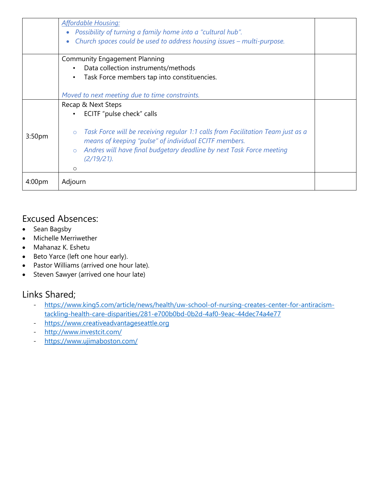|                    | <b>Affordable Housing:</b><br>Possibility of turning a family home into a "cultural hub".<br>Church spaces could be used to address housing issues - multi-purpose.                                                                                                 |  |  |
|--------------------|---------------------------------------------------------------------------------------------------------------------------------------------------------------------------------------------------------------------------------------------------------------------|--|--|
|                    | <b>Community Engagement Planning</b>                                                                                                                                                                                                                                |  |  |
|                    | Data collection instruments/methods<br>$\bullet$                                                                                                                                                                                                                    |  |  |
|                    | Task Force members tap into constituencies.<br>$\bullet$                                                                                                                                                                                                            |  |  |
|                    |                                                                                                                                                                                                                                                                     |  |  |
|                    | Moved to next meeting due to time constraints.                                                                                                                                                                                                                      |  |  |
|                    | Recap & Next Steps                                                                                                                                                                                                                                                  |  |  |
|                    | ECITF "pulse check" calls<br>$\bullet$                                                                                                                                                                                                                              |  |  |
| 3:50 <sub>pm</sub> | Task Force will be receiving regular 1:1 calls from Facilitation Team just as a<br>$\circ$<br>means of keeping "pulse" of individual ECITF members.<br>Andres will have final budgetary deadline by next Task Force meeting<br>$\circ$<br>$(2/19/21)$ .<br>$\Omega$ |  |  |
| 4:00 <sub>pm</sub> | Adjourn                                                                                                                                                                                                                                                             |  |  |

### Excused Absences:

- Sean Bagsby
- Michelle Merriwether
- Mahanaz K. Eshetu
- Beto Yarce (left one hour early).
- Pastor Williams (arrived one hour late).
- Steven Sawyer (arrived one hour late)

## Links Shared;

- [https://www.king5.com/article/news/health/uw-school-of-nursing-creates-center-for-antiracism](https://www.king5.com/article/news/health/uw-school-of-nursing-creates-center-for-antiracism-tackling-health-care-disparities/281-e700b0bd-0b2d-4af0-9eac-44dec74a4e77)[tackling-health-care-disparities/281-e700b0bd-0b2d-4af0-9eac-44dec74a4e77](https://www.king5.com/article/news/health/uw-school-of-nursing-creates-center-for-antiracism-tackling-health-care-disparities/281-e700b0bd-0b2d-4af0-9eac-44dec74a4e77)
- [https://www.creativeadvantageseattle.org](https://www.creativeadvantageseattle.org/)
- <http://www.investcit.com/>
- <https://www.ujimaboston.com/>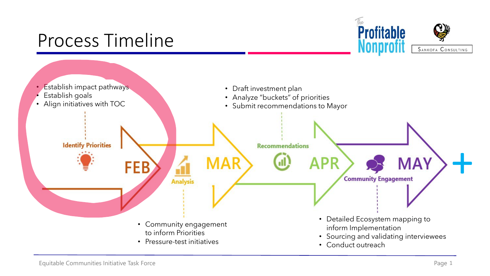# Process Timeline



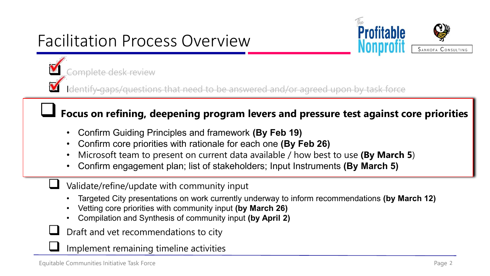# Facilitation Process Overview



Complete desk review

Identify and that inductional and a separated and a separated upon by task force

# **Focus on refining, deepening program levers and pressure test against core priorities**

- Confirm Guiding Principles and framework **(By Feb 19)**
- Confirm core priorities with rationale for each one **(By Feb 26)**
- Microsoft team to present on current data available / how best to use **(By March 5**)
- Confirm engagement plan; list of stakeholders; Input Instruments **(By March 5)**
- Validate/refine/update with community input
- Targeted City presentations on work currently underway to inform recommendations **(by March 12)**
- Vetting core priorities with community input **(by March 26)**
- Compilation and Synthesis of community input **(by April 2)**
- Draft and vet recommendations to city
- Implement remaining timeline activities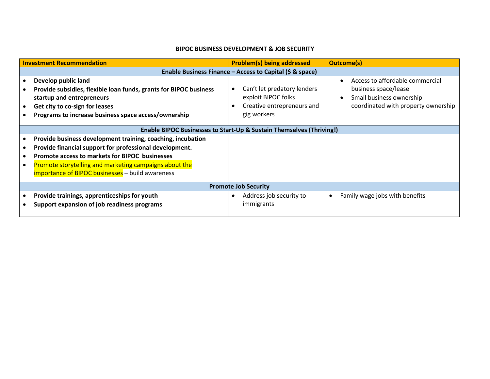### **BIPOC BUSINESS DEVELOPMENT & JOB SECURITY**

| <b>Investment Recommendation</b> |                                                                                                                                                                                                                                                                                               | <b>Problem(s) being addressed</b>                                                               | <b>Outcome(s)</b>                                                                                                                                    |  |  |
|----------------------------------|-----------------------------------------------------------------------------------------------------------------------------------------------------------------------------------------------------------------------------------------------------------------------------------------------|-------------------------------------------------------------------------------------------------|------------------------------------------------------------------------------------------------------------------------------------------------------|--|--|
|                                  | Enable Business Finance – Access to Capital (\$ & space)                                                                                                                                                                                                                                      |                                                                                                 |                                                                                                                                                      |  |  |
|                                  | Develop public land<br>Provide subsidies, flexible loan funds, grants for BIPOC business<br>startup and entrepreneurs<br>Get city to co-sign for leases<br>Programs to increase business space access/ownership                                                                               | Can't let predatory lenders<br>exploit BIPOC folks<br>Creative entrepreneurs and<br>gig workers | Access to affordable commercial<br>$\bullet$<br>business space/lease<br>Small business ownership<br>$\bullet$<br>coordinated with property ownership |  |  |
|                                  |                                                                                                                                                                                                                                                                                               | Enable BIPOC Businesses to Start-Up & Sustain Themselves (Thriving!)                            |                                                                                                                                                      |  |  |
|                                  | Provide business development training, coaching, incubation<br>Provide financial support for professional development.<br>Promote access to markets for BIPOC businesses<br>Promote storytelling and marketing campaigns about the<br><b>importance of BIPOC businesses</b> - build awareness |                                                                                                 |                                                                                                                                                      |  |  |
|                                  | <b>Promote Job Security</b>                                                                                                                                                                                                                                                                   |                                                                                                 |                                                                                                                                                      |  |  |
|                                  | Provide trainings, apprenticeships for youth<br>Support expansion of job readiness programs                                                                                                                                                                                                   | Address job security to<br>$\bullet$<br>immigrants                                              | Family wage jobs with benefits<br>$\bullet$                                                                                                          |  |  |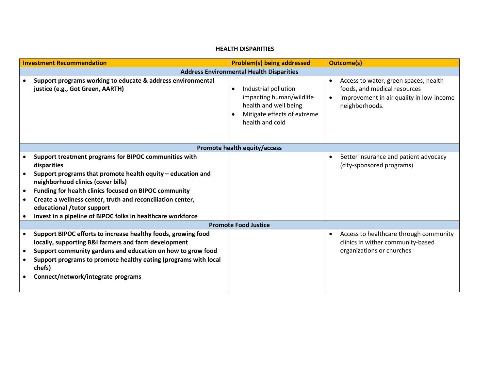### **HEALTH DISPARITIES**

| <b>Investment Recommendation</b> |                                                                                                                                                                                                                                                                                                                                                                                               | <b>Problem(s) being addressed</b>                                                                                                        | <b>Outcome(s)</b>                                                                                                                                |
|----------------------------------|-----------------------------------------------------------------------------------------------------------------------------------------------------------------------------------------------------------------------------------------------------------------------------------------------------------------------------------------------------------------------------------------------|------------------------------------------------------------------------------------------------------------------------------------------|--------------------------------------------------------------------------------------------------------------------------------------------------|
|                                  |                                                                                                                                                                                                                                                                                                                                                                                               | <b>Address Environmental Health Disparities</b>                                                                                          |                                                                                                                                                  |
|                                  | Support programs working to educate & address environmental<br>justice (e.g., Got Green, AARTH)                                                                                                                                                                                                                                                                                               | Industrial pollution<br>$\bullet$<br>impacting human/wildlife<br>health and well being<br>Mitigate effects of extreme<br>health and cold | Access to water, green spaces, health<br>$\bullet$<br>foods, and medical resources<br>Improvement in air quality in low-income<br>neighborhoods. |
|                                  |                                                                                                                                                                                                                                                                                                                                                                                               | Promote health equity/access                                                                                                             |                                                                                                                                                  |
|                                  | Support treatment programs for BIPOC communities with<br>disparities<br>Support programs that promote health equity - education and<br>neighborhood clinics (cover bills)<br>Funding for health clinics focused on BIPOC community<br>Create a wellness center, truth and reconciliation center,<br>educational /tutor support<br>Invest in a pipeline of BIPOC folks in healthcare workforce |                                                                                                                                          | Better insurance and patient advocacy<br>(city-sponsored programs)                                                                               |
|                                  |                                                                                                                                                                                                                                                                                                                                                                                               | <b>Promote Food Justice</b>                                                                                                              |                                                                                                                                                  |
| $\bullet$                        | Support BIPOC efforts to increase healthy foods, growing food<br>locally, supporting B&I farmers and farm development<br>Support community gardens and education on how to grow food<br>Support programs to promote healthy eating (programs with local<br>chefs)<br>Connect/network/integrate programs                                                                                       |                                                                                                                                          | Access to healthcare through community<br>clinics in wither community-based<br>organizations or churches                                         |
|                                  |                                                                                                                                                                                                                                                                                                                                                                                               |                                                                                                                                          |                                                                                                                                                  |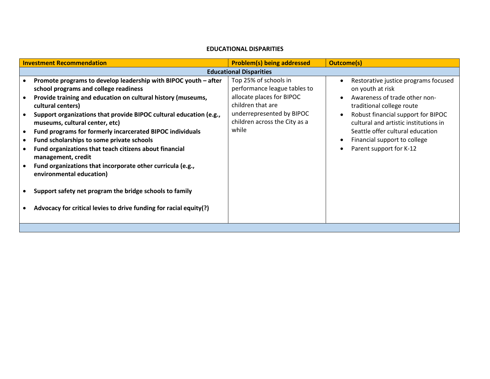### **EDUCATIONAL DISPARITIES**

| <b>Investment Recommendation</b> |                                                                                                                                                                                                                                                                                        | <b>Problem(s) being addressed</b>                                           | <b>Outcome(s)</b>                                                                                                                                              |  |  |
|----------------------------------|----------------------------------------------------------------------------------------------------------------------------------------------------------------------------------------------------------------------------------------------------------------------------------------|-----------------------------------------------------------------------------|----------------------------------------------------------------------------------------------------------------------------------------------------------------|--|--|
|                                  | <b>Educational Disparities</b>                                                                                                                                                                                                                                                         |                                                                             |                                                                                                                                                                |  |  |
|                                  | Promote programs to develop leadership with BIPOC youth - after<br>school programs and college readiness                                                                                                                                                                               | Top 25% of schools in<br>performance league tables to                       | Restorative justice programs focused<br>$\bullet$<br>on youth at risk                                                                                          |  |  |
|                                  | Provide training and education on cultural history (museums,<br>cultural centers)<br>Support organizations that provide BIPOC cultural education (e.g.,                                                                                                                                | allocate places for BIPOC<br>children that are<br>underrepresented by BIPOC | Awareness of trade other non-<br>$\bullet$<br>traditional college route<br>Robust financial support for BIPOC<br>$\bullet$                                     |  |  |
| $\bullet$                        | museums, cultural center, etc)<br>Fund programs for formerly incarcerated BIPOC individuals<br>Fund scholarships to some private schools<br>Fund organizations that teach citizens about financial<br>management, credit<br>Fund organizations that incorporate other curricula (e.g., | children across the City as a<br>while                                      | cultural and artistic institutions in<br>Seattle offer cultural education<br>Financial support to college<br>$\bullet$<br>Parent support for K-12<br>$\bullet$ |  |  |
|                                  | environmental education)<br>Support safety net program the bridge schools to family<br>Advocacy for critical levies to drive funding for racial equity(?)                                                                                                                              |                                                                             |                                                                                                                                                                |  |  |
|                                  |                                                                                                                                                                                                                                                                                        |                                                                             |                                                                                                                                                                |  |  |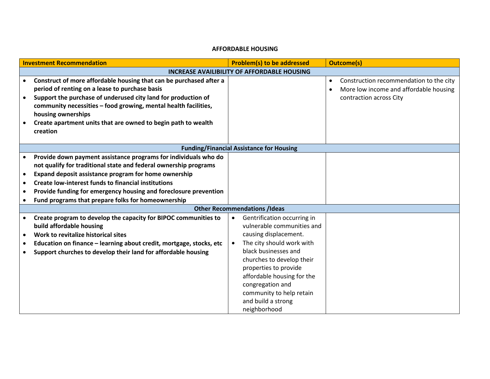### **AFFORDABLE HOUSING**

| <b>Investment Recommendation</b> |                                                                                                                                                                                                                                                                                                                                                                                     | <b>Problem(s) to be addressed</b>                                                                                                                                                                                                                                                                                                           | <b>Outcome(s)</b>                                                                                                                      |
|----------------------------------|-------------------------------------------------------------------------------------------------------------------------------------------------------------------------------------------------------------------------------------------------------------------------------------------------------------------------------------------------------------------------------------|---------------------------------------------------------------------------------------------------------------------------------------------------------------------------------------------------------------------------------------------------------------------------------------------------------------------------------------------|----------------------------------------------------------------------------------------------------------------------------------------|
|                                  |                                                                                                                                                                                                                                                                                                                                                                                     | <b>INCREASE AVAILIBILITY OF AFFORDABLE HOUSING</b>                                                                                                                                                                                                                                                                                          |                                                                                                                                        |
|                                  | Construct of more affordable housing that can be purchased after a<br>period of renting on a lease to purchase basis<br>Support the purchase of underused city land for production of<br>community necessities - food growing, mental health facilities,<br>housing ownerships<br>Create apartment units that are owned to begin path to wealth<br>creation                         |                                                                                                                                                                                                                                                                                                                                             | Construction recommendation to the city<br>$\bullet$<br>More low income and affordable housing<br>$\bullet$<br>contraction across City |
|                                  |                                                                                                                                                                                                                                                                                                                                                                                     | <b>Funding/Financial Assistance for Housing</b>                                                                                                                                                                                                                                                                                             |                                                                                                                                        |
| $\bullet$                        | Provide down payment assistance programs for individuals who do<br>not qualify for traditional state and federal ownership programs<br>Expand deposit assistance program for home ownership<br><b>Create low-interest funds to financial institutions</b><br>Provide funding for emergency housing and foreclosure prevention<br>Fund programs that prepare folks for homeownership |                                                                                                                                                                                                                                                                                                                                             |                                                                                                                                        |
|                                  |                                                                                                                                                                                                                                                                                                                                                                                     | <b>Other Recommendations /Ideas</b>                                                                                                                                                                                                                                                                                                         |                                                                                                                                        |
|                                  | Create program to develop the capacity for BIPOC communities to<br>build affordable housing<br>Work to revitalize historical sites<br>Education on finance - learning about credit, mortgage, stocks, etc<br>Support churches to develop their land for affordable housing                                                                                                          | Gentrification occurring in<br>$\bullet$<br>vulnerable communities and<br>causing displacement.<br>The city should work with<br>$\bullet$<br>black businesses and<br>churches to develop their<br>properties to provide<br>affordable housing for the<br>congregation and<br>community to help retain<br>and build a strong<br>neighborhood |                                                                                                                                        |